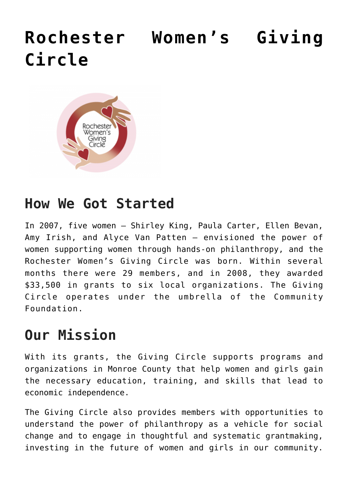# **[Rochester Women's Giving](https://www.racf.org/collaborations/rochester-womens-giving-circle/) [Circle](https://www.racf.org/collaborations/rochester-womens-giving-circle/)**



### **How We Got Started**

In 2007, five women — Shirley King, Paula Carter, Ellen Bevan, Amy Irish, and Alyce Van Patten — envisioned the power of women supporting women through hands-on philanthropy, and the Rochester Women's Giving Circle was born. Within several months there were 29 members, and in 2008, they awarded \$33,500 in grants to six local organizations. The Giving Circle operates under the umbrella of the Community Foundation.

## **Our Mission**

With its grants, the Giving Circle supports programs and organizations in Monroe County that help women and girls gain the necessary education, training, and skills that lead to economic independence.

The Giving Circle also provides members with opportunities to understand the power of philanthropy as a vehicle for social change and to engage in thoughtful and systematic grantmaking, investing in the future of women and girls in our community.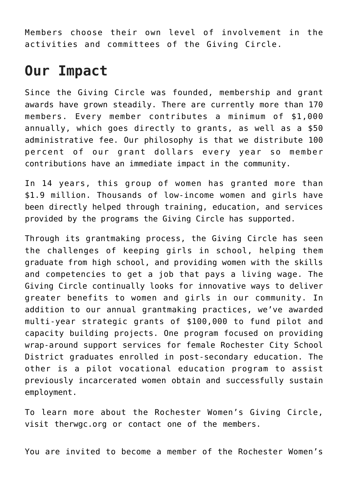Members choose their own level of involvement in the activities and committees of the Giving Circle.

#### **Our Impact**

Since the Giving Circle was founded, membership and grant awards have grown steadily. There are currently more than 170 members. Every member contributes a minimum of \$1,000 annually, which goes directly to grants, as well as a \$50 administrative fee. Our philosophy is that we distribute 100 percent of our grant dollars every year so member contributions have an immediate impact in the community.

In 14 years, this group of women has granted more than \$1.9 million. Thousands of low-income women and girls have been directly helped through training, education, and services provided by the programs the Giving Circle has supported.

Through its grantmaking process, the Giving Circle has seen the challenges of keeping girls in school, helping them graduate from high school, and providing women with the skills and competencies to get a job that pays a living wage. The Giving Circle continually looks for innovative ways to deliver greater benefits to women and girls in our community. In addition to our annual grantmaking practices, we've awarded multi-year strategic grants of \$100,000 to fund pilot and capacity building projects. One program focused on providing wrap-around support services for female Rochester City School District graduates enrolled in post-secondary education. The other is a pilot vocational education program to assist previously incarcerated women obtain and successfully sustain employment.

To learn more about the Rochester Women's Giving Circle, visit [therwgc.org](http://therwgc.org/) or [contact one of the members.](http://therwgc.org/drupal6/contact)

You are invited to become a member of the Rochester Women's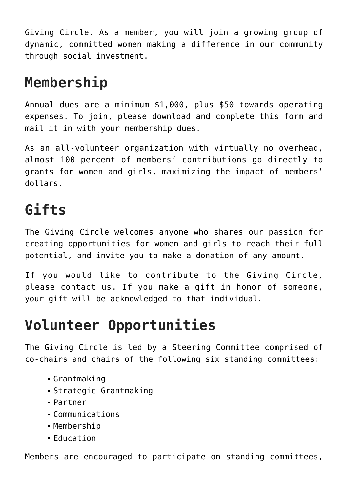Giving Circle. As a member, you will join a growing group of dynamic, committed women making a difference in our community through social investment.

# **Membership**

Annual dues are a minimum \$1,000, plus \$50 towards operating expenses. To join, please download and complete [this form](https://www.racf.org/wp-content/uploads/2020/01/2018-RWGC-Pledge-Form.docx) and mail it in with your membership dues.

As an all-volunteer organization with virtually no overhead, almost 100 percent of members' contributions go directly to grants for women and girls, maximizing the impact of members' dollars.

### **Gifts**

The Giving Circle welcomes anyone who shares our passion for creating opportunities for women and girls to reach their full potential, and invite you to make a donation of any amount.

If you would like to contribute to the Giving Circle, please [contact us](http://therwgc.org/contact). If you make a gift in honor of someone, your gift will be acknowledged to that individual.

## **Volunteer Opportunities**

The Giving Circle is led by a Steering Committee comprised of co-chairs and chairs of the following six standing committees:

- Grantmaking
- Strategic Grantmaking
- Partner
- Communications
- Membership
- Education

Members are encouraged to participate on [standing committees,](https://www.therwgc.org/participation/)